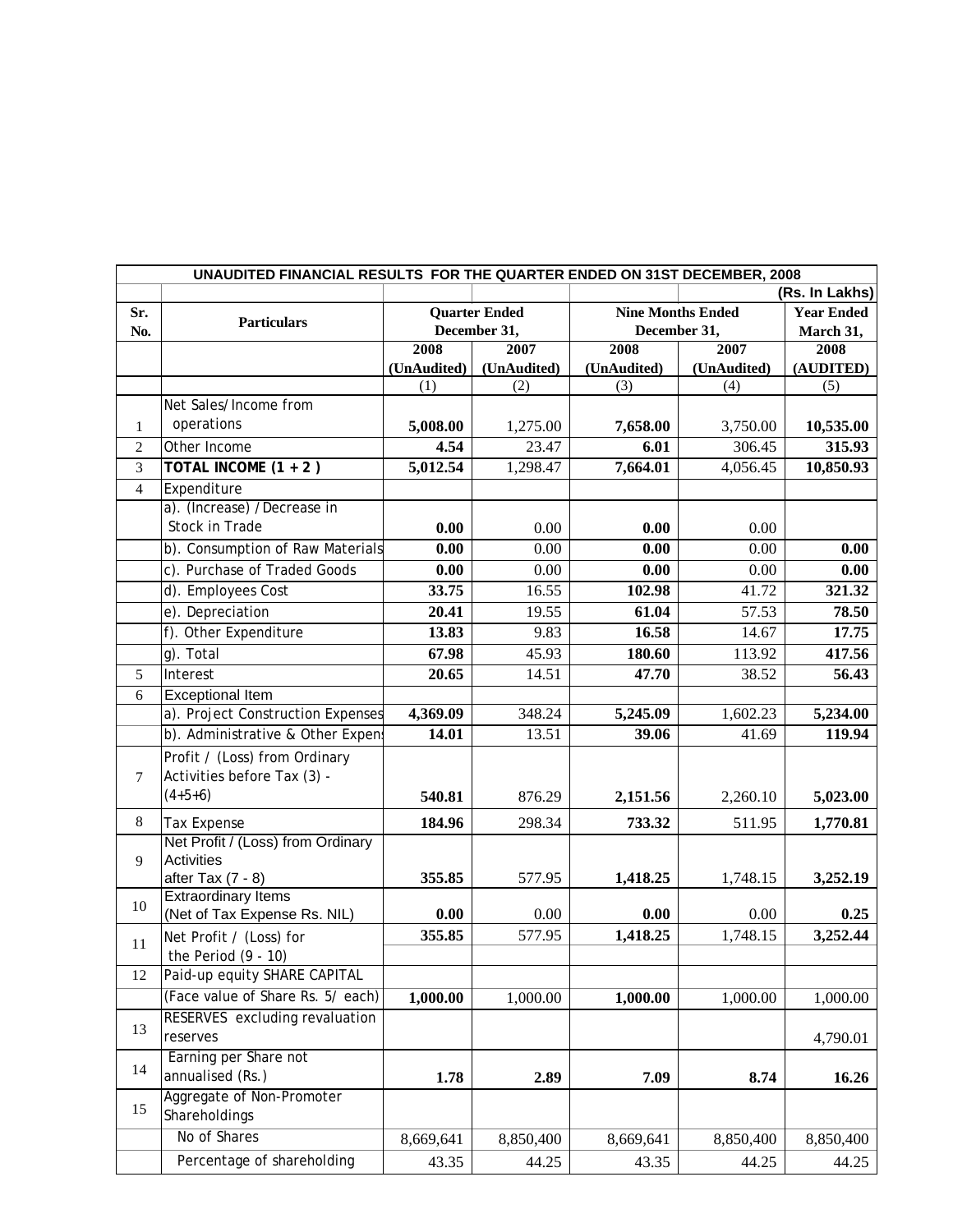| UNAUDITED FINANCIAL RESULTS FOR THE QUARTER ENDED ON 31ST DECEMBER, 2008 |                                                            |                                      |             |                                          |             |                   |  |  |  |  |
|--------------------------------------------------------------------------|------------------------------------------------------------|--------------------------------------|-------------|------------------------------------------|-------------|-------------------|--|--|--|--|
|                                                                          |                                                            |                                      |             |                                          |             | (Rs. In Lakhs)    |  |  |  |  |
| Sr.                                                                      |                                                            | <b>Quarter Ended</b><br>December 31, |             | <b>Nine Months Ended</b><br>December 31, |             | <b>Year Ended</b> |  |  |  |  |
| No.                                                                      | <b>Particulars</b>                                         |                                      |             |                                          |             | March 31,         |  |  |  |  |
|                                                                          |                                                            | 2008                                 | 2007        | 2008                                     | 2007        | 2008              |  |  |  |  |
|                                                                          |                                                            | (UnAudited)                          | (UnAudited) | (UnAudited)                              | (UnAudited) | (AUDITED)         |  |  |  |  |
|                                                                          |                                                            | (1)                                  | (2)         | (3)                                      | (4)         | (5)               |  |  |  |  |
|                                                                          | Net Sales/Income from                                      |                                      |             |                                          |             |                   |  |  |  |  |
| $\mathbf{1}$                                                             | operations                                                 | 5,008.00                             | 1,275.00    | 7,658.00                                 | 3,750.00    | 10,535.00         |  |  |  |  |
| $\overline{2}$                                                           | Other Income                                               | 4.54                                 | 23.47       | 6.01                                     | 306.45      | 315.93            |  |  |  |  |
| $\overline{3}$                                                           | TOTAL INCOME $(1 + 2)$                                     | 5,012.54                             | 1,298.47    | 7,664.01                                 | 4,056.45    | 10,850.93         |  |  |  |  |
| $\overline{4}$                                                           | Expenditure                                                |                                      |             |                                          |             |                   |  |  |  |  |
|                                                                          | a). (Increase) /Decrease in                                |                                      |             |                                          |             |                   |  |  |  |  |
|                                                                          | Stock in Trade                                             | 0.00                                 | 0.00        | 0.00                                     | 0.00        |                   |  |  |  |  |
|                                                                          | b). Consumption of Raw Materials                           | 0.00                                 | 0.00        | 0.00                                     | 0.00        | 0.00              |  |  |  |  |
|                                                                          | c). Purchase of Traded Goods                               | 0.00                                 | 0.00        | 0.00                                     | 0.00        | 0.00              |  |  |  |  |
|                                                                          | d). Employees Cost                                         | 33.75                                | 16.55       | 102.98                                   | 41.72       | 321.32            |  |  |  |  |
|                                                                          | e). Depreciation                                           | 20.41                                | 19.55       | 61.04                                    | 57.53       | 78.50             |  |  |  |  |
|                                                                          | f). Other Expenditure                                      | 13.83                                | 9.83        | 16.58                                    | 14.67       | 17.75             |  |  |  |  |
|                                                                          | q). Total                                                  | 67.98                                | 45.93       | 180.60                                   | 113.92      | 417.56            |  |  |  |  |
| 5                                                                        | Interest                                                   | 20.65                                | 14.51       | 47.70                                    | 38.52       | 56.43             |  |  |  |  |
| 6                                                                        | <b>Exceptional Item</b>                                    |                                      |             |                                          |             |                   |  |  |  |  |
|                                                                          | a). Project Construction Expenses                          | 4,369.09                             | 348.24      | 5,245.09                                 | 1,602.23    | 5,234.00          |  |  |  |  |
|                                                                          | b). Administrative & Other Expens                          | 14.01                                | 13.51       | 39.06                                    | 41.69       | 119.94            |  |  |  |  |
|                                                                          |                                                            |                                      |             |                                          |             |                   |  |  |  |  |
|                                                                          | Profit / (Loss) from Ordinary                              |                                      |             |                                          |             |                   |  |  |  |  |
| $\tau$                                                                   | Activities before Tax (3) -                                |                                      |             |                                          |             |                   |  |  |  |  |
|                                                                          | $(4+5+6)$                                                  | 540.81                               | 876.29      | 2,151.56                                 | 2,260.10    | 5,023.00          |  |  |  |  |
| $8\,$                                                                    | Tax Expense                                                | 184.96                               | 298.34      | 733.32                                   | 511.95      | 1,770.81          |  |  |  |  |
|                                                                          | Net Profit / (Loss) from Ordinary                          |                                      |             |                                          |             |                   |  |  |  |  |
| 9                                                                        | <b>Activities</b>                                          |                                      |             |                                          |             |                   |  |  |  |  |
|                                                                          | after Tax $(7 - 8)$                                        | 355.85                               | 577.95      | 1,418.25                                 | 1,748.15    | 3,252.19          |  |  |  |  |
| 10                                                                       | <b>Extraordinary Items</b><br>(Net of Tax Expense Rs. NIL) |                                      |             | 0.00                                     | 0.00        | 0.25              |  |  |  |  |
|                                                                          |                                                            | 0.00                                 | 0.00        |                                          |             |                   |  |  |  |  |
| 11                                                                       | Net Profit / (Loss) for                                    | 355.85                               | 577.95      | 1,418.25                                 | 1,748.15    | 3,252.44          |  |  |  |  |
|                                                                          | the Period $(9 - 10)$                                      |                                      |             |                                          |             |                   |  |  |  |  |
| 12                                                                       | Paid-up equity SHARE CAPITAL                               |                                      |             |                                          |             |                   |  |  |  |  |
|                                                                          | (Face value of Share Rs. 5/ each)                          | 1,000.00                             | 1,000.00    | 1,000.00                                 | 1,000.00    | 1,000.00          |  |  |  |  |
| 13                                                                       | RESERVES excluding revaluation                             |                                      |             |                                          |             |                   |  |  |  |  |
|                                                                          | reserves                                                   |                                      |             |                                          |             | 4,790.01          |  |  |  |  |
| 14                                                                       | Earning per Share not                                      |                                      |             |                                          |             |                   |  |  |  |  |
|                                                                          | annualised (Rs.)                                           | 1.78                                 | 2.89        | 7.09                                     | 8.74        | 16.26             |  |  |  |  |
| 15                                                                       | Aggregate of Non-Promoter                                  |                                      |             |                                          |             |                   |  |  |  |  |
|                                                                          | Shareholdings                                              |                                      |             |                                          |             |                   |  |  |  |  |
|                                                                          | No of Shares                                               | 8,669,641                            | 8,850,400   | 8,669,641                                | 8,850,400   | 8,850,400         |  |  |  |  |
|                                                                          | Percentage of shareholding                                 | 43.35                                | 44.25       | 43.35                                    | 44.25       | 44.25             |  |  |  |  |